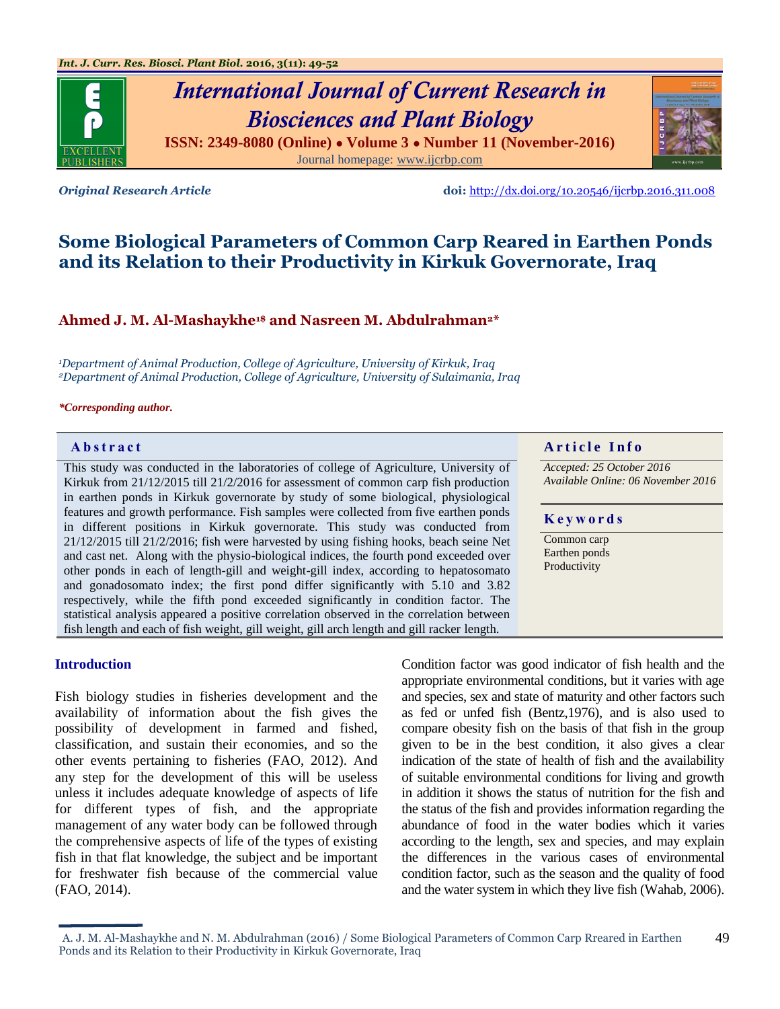

# *International Journal of Current Research in Biosciences and Plant Biology* **ISSN: 2349-8080 (Online) ● Volume 3 ● Number 11 (November-2016)**

Journal homepage: [www.ijcrbp.com](http://www.ijcrbp.com/)



*Original Research Article* **doi:** <http://dx.doi.org/10.20546/ijcrbp.2016.311.008>

# **Some Biological Parameters of Common Carp Reared in Earthen Ponds and its Relation to their Productivity in Kirkuk Governorate, Iraq**

# **Ahmed J. M. Al-Mashaykhe1\$ and Nasreen M. Abdulrahman2\***

*<sup>1</sup>Department of Animal Production, College of Agriculture, University of Kirkuk, Iraq <sup>2</sup>Department of Animal Production, College of Agriculture, University of Sulaimania, Iraq*

#### *\*Corresponding author.*

This study was conducted in the laboratories of college of Agriculture, University of Kirkuk from 21/12/2015 till 21/2/2016 for assessment of common carp fish production in earthen ponds in Kirkuk governorate by study of some biological, physiological features and growth performance. Fish samples were collected from five earthen ponds in different positions in Kirkuk governorate. This study was conducted from 21/12/2015 till 21/2/2016; fish were harvested by using fishing hooks, beach seine Net and cast net. Along with the physio-biological indices, the fourth pond exceeded over other ponds in each of length-gill and weight-gill index, according to hepatosomato and gonadosomato index; the first pond differ significantly with 5.10 and 3.82 respectively, while the fifth pond exceeded significantly in condition factor. The statistical analysis appeared a positive correlation observed in the correlation between fish length and each of fish weight, gill weight, gill arch length and gill racker length.

## **Introduction**

Fish biology studies in fisheries development and the availability of information about the fish gives the possibility of development in farmed and fished, classification, and sustain their economies, and so the other events pertaining to fisheries (FAO, 2012). And any step for the development of this will be useless unless it includes adequate knowledge of aspects of life for different types of fish, and the appropriate management of any water body can be followed through the comprehensive aspects of life of the types of existing fish in that flat knowledge, the subject and be important for freshwater fish because of the commercial value (FAO, 2014).

Condition factor was good indicator of fish health and the appropriate environmental conditions, but it varies with age and species, sex and state of maturity and other factors such as fed or unfed fish (Bentz,1976), and is also used to compare obesity fish on the basis of that fish in the group given to be in the best condition, it also gives a clear indication of the state of health of fish and the availability of suitable environmental conditions for living and growth in addition it shows the status of nutrition for the fish and the status of the fish and provides information regarding the abundance of food in the water bodies which it varies according to the length, sex and species, and may explain the differences in the various cases of environmental condition factor, such as the season and the quality of food and the water system in which they live fish (Wahab, 2006).

## **Abstract A A** r a c t **a** *r* **A** *r A* **<b>***r Article Info*

*Accepted: 25 October 2016 Available Online: 06 November 2016*

### **K e y w o r d s**

Common carp Earthen ponds Productivity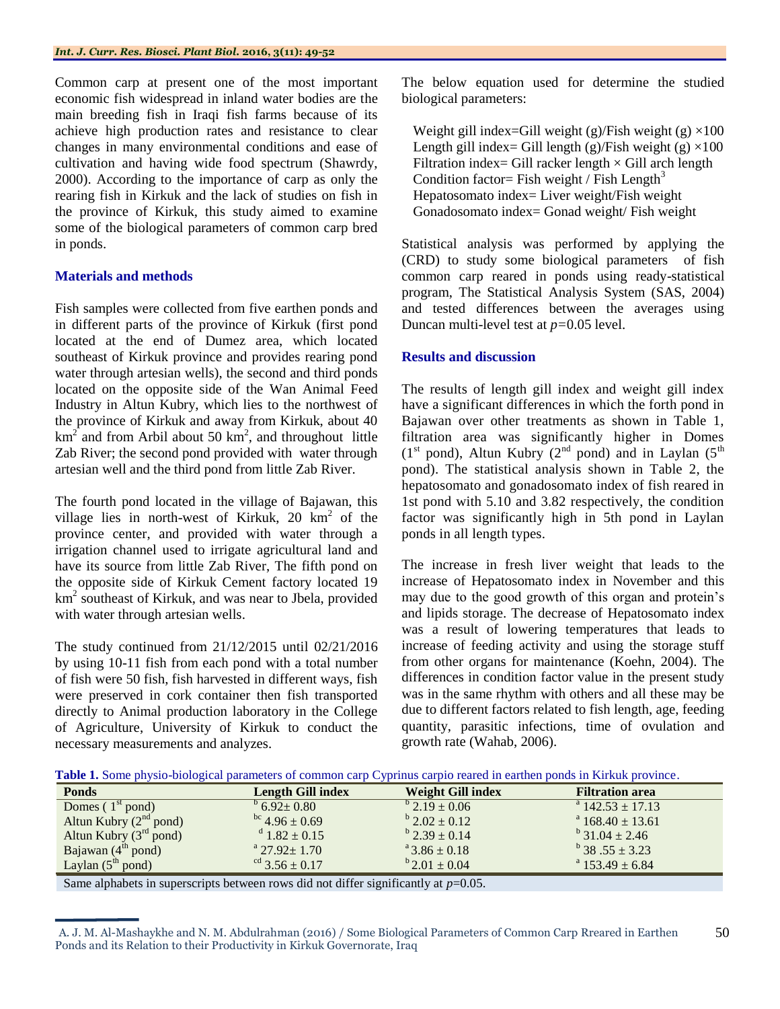Common carp at present one of the most important economic fish widespread in inland water bodies are the main breeding fish in Iraqi fish farms because of its achieve high production rates and resistance to clear changes in many environmental conditions and ease of cultivation and having wide food spectrum (Shawrdy, 2000). According to the importance of carp as only the rearing fish in Kirkuk and the lack of studies on fish in the province of Kirkuk, this study aimed to examine some of the biological parameters of common carp bred in ponds.

# **Materials and methods**

Fish samples were collected from five earthen ponds and in different parts of the province of Kirkuk (first pond located at the end of Dumez area, which located southeast of Kirkuk province and provides rearing pond water through artesian wells), the second and third ponds located on the opposite side of the Wan Animal Feed Industry in Altun Kubry, which lies to the northwest of the province of Kirkuk and away from Kirkuk, about 40  $km^2$  and from Arbil about 50  $km^2$ , and throughout little Zab River; the second pond provided with water through artesian well and the third pond from little Zab River.

The fourth pond located in the village of Bajawan, this village lies in north-west of Kirkuk,  $20 \text{ km}^2$  of the province center, and provided with water through a irrigation channel used to irrigate agricultural land and have its source from little Zab River, The fifth pond on the opposite side of Kirkuk Cement factory located 19 km<sup>2</sup> southeast of Kirkuk, and was near to Jbela, provided with water through artesian wells.

The study continued from 21/12/2015 until 02/21/2016 by using 10-11 fish from each pond with a total number of fish were 50 fish, fish harvested in different ways, fish were preserved in cork container then fish transported directly to Animal production laboratory in the College of Agriculture, University of Kirkuk to conduct the necessary measurements and analyzes.

The below equation used for determine the studied biological parameters:

Weight gill index=Gill weight (g)/Fish weight (g)  $\times 100$ Length gill index= Gill length (g)/Fish weight (g)  $\times$ 100 Filtration index= Gill racker length  $\times$  Gill arch length Condition factor= Fish weight / Fish Length<sup>3</sup> Hepatosomato index= Liver weight/Fish weight Gonadosomato index= Gonad weight/ Fish weight

Statistical analysis was performed by applying the (CRD) to study some biological parameters of fish common carp reared in ponds using ready-statistical program, The Statistical Analysis System (SAS, 2004) and tested differences between the averages using Duncan multi-level test at *p=*0.05 level.

# **Results and discussion**

The results of length gill index and weight gill index have a significant differences in which the forth pond in Bajawan over other treatments as shown in Table 1, filtration area was significantly higher in Domes  $(1<sup>st</sup>$  pond), Altun Kubry  $(2<sup>nd</sup>$  pond) and in Laylan  $(5<sup>th</sup>$ pond). The statistical analysis shown in Table 2, the hepatosomato and gonadosomato index of fish reared in 1st pond with 5.10 and 3.82 respectively, the condition factor was significantly high in 5th pond in Laylan ponds in all length types.

The increase in fresh liver weight that leads to the increase of Hepatosomato index in November and this may due to the good growth of this organ and protein's and lipids storage. The decrease of Hepatosomato index was a result of lowering temperatures that leads to increase of feeding activity and using the storage stuff from other organs for maintenance (Koehn, 2004). The differences in condition factor value in the present study was in the same rhythm with others and all these may be due to different factors related to fish length, age, feeding quantity, parasitic infections, time of ovulation and growth rate (Wahab, 2006).

|  |  |  |  |  | Table 1. Some physio-biological parameters of common carp Cyprinus carpio reared in earthen ponds in Kirkuk province. |
|--|--|--|--|--|-----------------------------------------------------------------------------------------------------------------------|
|  |  |  |  |  |                                                                                                                       |

| <b>Ponds</b>                | <b>Length Gill index</b>   | <b>Weight Gill index</b> | <b>Filtration area</b>         |
|-----------------------------|----------------------------|--------------------------|--------------------------------|
| Domes $(1st$ pond)          | $^{6}$ 6.92 $\pm$ 0.80     | $^{6}$ 2.19 $\pm$ 0.06   | $^{a}$ 142.53 + 17.13          |
| Altun Kubry $(2^{nd}$ pond) | $\frac{bc}{4.96 \pm 0.69}$ | $b$ 2.02 $\pm$ 0.12      | $a^{a}$ 168.40 ± 13.61         |
| Altun Kubry $(3rd$ pond)    | $^{\rm d}$ 1.82 $\pm$ 0.15 | $^{6}$ 2.39 $\pm$ 0.14   | $^{b}$ 31.04 $\pm$ 2.46        |
| Bajawan $(4th$ pond)        | $a$ 27.92 $\pm$ 1.70       | $a^{a}$ 3.86 $\pm$ 0.18  | $^{b}$ 38 .55 $\pm$ 3.23       |
| Laylan $(5th$ pond)         | <sup>cd</sup> 3.56 ± 0.17  | $^{6}$ 2.01 $\pm$ 0.04   | <sup>a</sup> $153.49 \pm 6.84$ |

Same alphabets in superscripts between rows did not differ significantly at *p*=0.05.

A. J. M. Al-Mashaykhe and N. M. Abdulrahman (2016) / Some Biological Parameters of Common Carp Rreared in Earthen Ponds and its Relation to their Productivity in Kirkuk Governorate, Iraq 50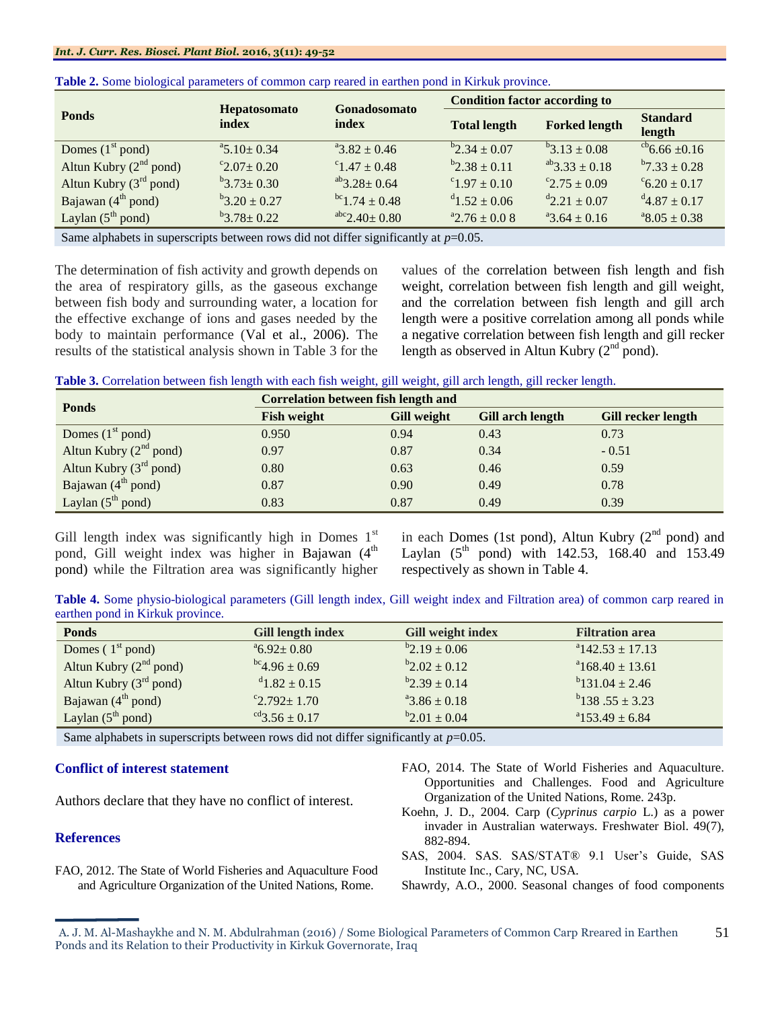### *Int. J. Curr. Res. Biosci. Plant Biol.* **2016, 3(11): 49-52**

|                                                                                        |                         | Gonadosomato                 | <b>Condition factor according to</b> |                                |                           |  |
|----------------------------------------------------------------------------------------|-------------------------|------------------------------|--------------------------------------|--------------------------------|---------------------------|--|
| <b>Ponds</b>                                                                           | Hepatosomato<br>index   | index                        | <b>Total length</b>                  | <b>Forked length</b>           | <b>Standard</b><br>length |  |
| Domes $(1st$ pond)                                                                     | $a$ 5.10 ± 0.34         | $43.82 \pm 0.46$             | $b^{\rm b}$ 2.34 ± 0.07              | $b$ <sub>3.13</sub> $\pm$ 0.08 | $^{cb}$ 6.66 ±0.16        |  |
| Altun Kubry $(2nd$ pond)                                                               | $\mathrm{c}2.07\pm0.20$ | $c_{1.47 \pm 0.48}$          | $b$ <sub>2.38</sub> $\pm$ 0.11       | $^{ab}3.33 \pm 0.18$           | $b7.33 \pm 0.28$          |  |
| Altun Kubry $(3rd$ pond)                                                               | $b^{\rm b}$ 3.73± 0.30  | $\mathrm{^{ab}3.28\pm0.64}$  | $^{\circ}1.97 \pm 0.10$              | $^{\circ}2.75 \pm 0.09$        | $\degree$ 6.20 ± 0.17     |  |
| Bajawan $(4th$ pond)                                                                   | $b^{\rm b}$ 3.20 ± 0.27 | $^{bc}$ 1.74 ± 0.48          | $41.52 \pm 0.06$                     | $d_{2,21} \pm 0.07$            | $^{d}4.87 \pm 0.17$       |  |
| Laylan $(5^{\text{th}}$ pond)                                                          | $b$ 3.78± 0.22          | $\mathrm{^{abc}2.40\pm0.80}$ | $a_{2.76 \pm 0.08}$                  | $43.64 \pm 0.16$               | $a^88.05 \pm 0.38$        |  |
| Same alphabets in superscripts between rows did not differ significantly at $p=0.05$ . |                         |                              |                                      |                                |                           |  |

**Table 2.** Some biological parameters of common carp reared in earthen pond in Kirkuk province.

The determination of fish activity and growth depends on the area of respiratory gills, as the gaseous exchange between fish body and surrounding water, a location for the effective exchange of ions and gases needed by the body to maintain performance (Val et al., 2006). The results of the statistical analysis shown in Table 3 for the

values of the correlation between fish length and fish weight, correlation between fish length and gill weight, and the correlation between fish length and gill arch length were a positive correlation among all ponds while a negative correlation between fish length and gill recker length as observed in Altun Kubry  $(2<sup>nd</sup>$  pond).

**Table 3.** Correlation between fish length with each fish weight, gill weight, gill arch length, gill recker length.

| <b>Ponds</b>                  | <b>Correlation between fish length and</b> |             |                  |                           |  |  |
|-------------------------------|--------------------------------------------|-------------|------------------|---------------------------|--|--|
|                               | <b>Fish weight</b>                         | Gill weight | Gill arch length | <b>Gill recker length</b> |  |  |
| Domes $(1st$ pond)            | 0.950                                      | 0.94        | 0.43             | 0.73                      |  |  |
| Altun Kubry $(2nd$ pond)      | 0.97                                       | 0.87        | 0.34             | $-0.51$                   |  |  |
| Altun Kubry $(3rd$ pond)      | 0.80                                       | 0.63        | 0.46             | 0.59                      |  |  |
| Bajawan $(4th$ pond)          | 0.87                                       | 0.90        | 0.49             | 0.78                      |  |  |
| Laylan $(5^{\text{th}}$ pond) | 0.83                                       | 0.87        | 0.49             | 0.39                      |  |  |

Gill length index was significantly high in Domes  $1<sup>st</sup>$ pond, Gill weight index was higher in Bajawan  $(4<sup>th</sup>$ pond) while the Filtration area was significantly higher in each Domes (1st pond), Altun Kubry ( $2<sup>nd</sup>$  pond) and Laylan  $(5^{th}$  pond) with 142.53, 168.40 and 153.49 respectively as shown in Table 4.

**Table 4.** Some physio-biological parameters (Gill length index, Gill weight index and Filtration area) of common carp reared in earthen pond in Kirkuk province.

| <b>Ponds</b>                  | <b>Gill length index</b>      | Gill weight index              | <b>Filtration area</b> |
|-------------------------------|-------------------------------|--------------------------------|------------------------|
| Domes $(1st$ pond)            | $^{\circ}6.92 \pm 0.80$       | $b$ <sub>2.19</sub> $\pm$ 0.06 | $a_{142.53 \pm 17.13}$ |
| Altun Kubry $(2nd$ pond)      | $^{bc}4.96 \pm 0.69$          | $b$ 2.02 $\pm$ 0.12            | $a^2$ 168.40 ± 13.61   |
| Altun Kubry $(3rd$ pond)      | $d_{1.82 \pm 0.15}$           | $b^{\rm b}$ 2.39 ± 0.14        | $b$ 131.04 ± 2.46      |
| Bajawan $(4th$ pond)          | $\degree$ 2.792 $\pm$ 1.70    | $a^3$ 3.86 ± 0.18              | $b$ 138.55 ± 3.23      |
| Laylan $(5^{\text{th}}$ pond) | $\mathrm{^{cd}3.56} \pm 0.17$ | $b_{2.01} \pm 0.04$            | $a^2$ 153.49 ± 6.84    |

Same alphabets in superscripts between rows did not differ significantly at  $p=0.05$ .

# **Conflict of interest statement**

Authors declare that they have no conflict of interest.

# **References**

- FAO, 2012. The State of World Fisheries and Aquaculture Food and Agriculture Organization of the United Nations, Rome.
- FAO, 2014. The State of World Fisheries and Aquaculture. Opportunities and Challenges. Food and Agriculture Organization of the United Nations, Rome. 243p.
- Koehn, J. D., 2004. Carp (*Cyprinus carpio* L.) as a power invader in Australian waterways. Freshwater Biol. 49(7), 882-894.
- SAS, 2004. SAS. SAS/STAT® 9.1 User's Guide, SAS Institute Inc., Cary, NC, USA.
- Shawrdy, A.O., 2000. Seasonal changes of food components

A. J. M. Al-Mashaykhe and N. M. Abdulrahman (2016) / Some Biological Parameters of Common Carp Rreared in Earthen Ponds and its Relation to their Productivity in Kirkuk Governorate, Iraq 51